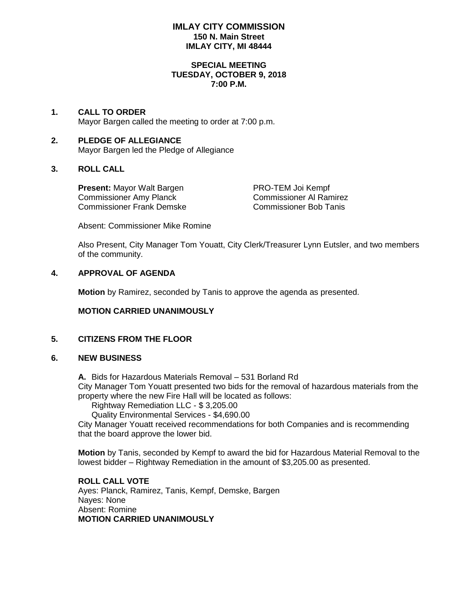### **IMLAY CITY COMMISSION 150 N. Main Street IMLAY CITY, MI 48444**

#### **SPECIAL MEETING TUESDAY, OCTOBER 9, 2018 7:00 P.M.**

### **1. CALL TO ORDER** Mayor Bargen called the meeting to order at 7:00 p.m.

### **2. PLEDGE OF ALLEGIANCE** Mayor Bargen led the Pledge of Allegiance

# **3. ROLL CALL**

Present: Mayor Walt Bargen **PRO-TEM Joi Kempf** Commissioner Amy Planck<br>
Commissioner Frank Demske<br>
Commissioner Ann Commissioner Bob Tanis Commissioner Frank Demske

Absent: Commissioner Mike Romine

Also Present, City Manager Tom Youatt, City Clerk/Treasurer Lynn Eutsler, and two members of the community.

# **4. APPROVAL OF AGENDA**

**Motion** by Ramirez, seconded by Tanis to approve the agenda as presented.

# **MOTION CARRIED UNANIMOUSLY**

# **5. CITIZENS FROM THE FLOOR**

### **6. NEW BUSINESS**

**A.** Bids for Hazardous Materials Removal – 531 Borland Rd

City Manager Tom Youatt presented two bids for the removal of hazardous materials from the property where the new Fire Hall will be located as follows:

Rightway Remediation LLC - \$ 3,205.00

Quality Environmental Services - \$4,690.00

City Manager Youatt received recommendations for both Companies and is recommending that the board approve the lower bid.

**Motion** by Tanis, seconded by Kempf to award the bid for Hazardous Material Removal to the lowest bidder – Rightway Remediation in the amount of \$3,205.00 as presented.

**ROLL CALL VOTE** Ayes: Planck, Ramirez, Tanis, Kempf, Demske, Bargen Nayes: None Absent: Romine **MOTION CARRIED UNANIMOUSLY**